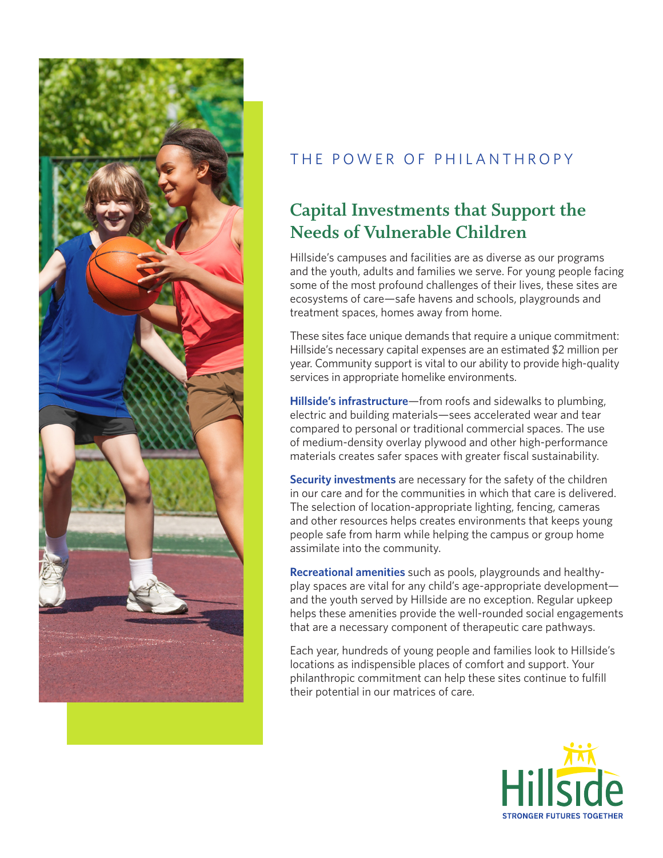

### THE POWER OF PHILANTHROPY

# **Capital Investments that Support the Needs of Vulnerable Children**

Hillside's campuses and facilities are as diverse as our programs and the youth, adults and families we serve. For young people facing some of the most profound challenges of their lives, these sites are ecosystems of care—safe havens and schools, playgrounds and treatment spaces, homes away from home.

These sites face unique demands that require a unique commitment: Hillside's necessary capital expenses are an estimated \$2 million per year. Community support is vital to our ability to provide high-quality services in appropriate homelike environments.

**Hillside's infrastructure**—from roofs and sidewalks to plumbing, electric and building materials—sees accelerated wear and tear compared to personal or traditional commercial spaces. The use of medium-density overlay plywood and other high-performance materials creates safer spaces with greater fiscal sustainability.

**Security investments** are necessary for the safety of the children in our care and for the communities in which that care is delivered. The selection of location-appropriate lighting, fencing, cameras and other resources helps creates environments that keeps young people safe from harm while helping the campus or group home assimilate into the community.

**Recreational amenities** such as pools, playgrounds and healthyplay spaces are vital for any child's age-appropriate development and the youth served by Hillside are no exception. Regular upkeep helps these amenities provide the well-rounded social engagements that are a necessary component of therapeutic care pathways.

Each year, hundreds of young people and families look to Hillside's locations as indispensible places of comfort and support. Your philanthropic commitment can help these sites continue to fulfill their potential in our matrices of care.